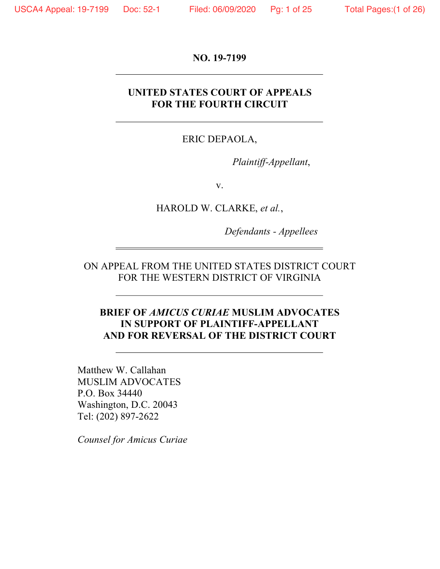**NO. 19-7199**

# **UNITED STATES COURT OF APPEALS FOR THE FOURTH CIRCUIT**

# ERIC DEPAOLA,

*Plaintiff-Appellant*,

v.

HAROLD W. CLARKE, *et al.*,

*Defendants - Appellees*

ON APPEAL FROM THE UNITED STATES DISTRICT COURT FOR THE WESTERN DISTRICT OF VIRGINIA

# **BRIEF OF** *AMICUS CURIAE* **MUSLIM ADVOCATES IN SUPPORT OF PLAINTIFF-APPELLANT AND FOR REVERSAL OF THE DISTRICT COURT**

Matthew W. Callahan MUSLIM ADVOCATES P.O. Box 34440 Washington, D.C. 20043 Tel: (202) 897-2622

*Counsel for Amicus Curiae*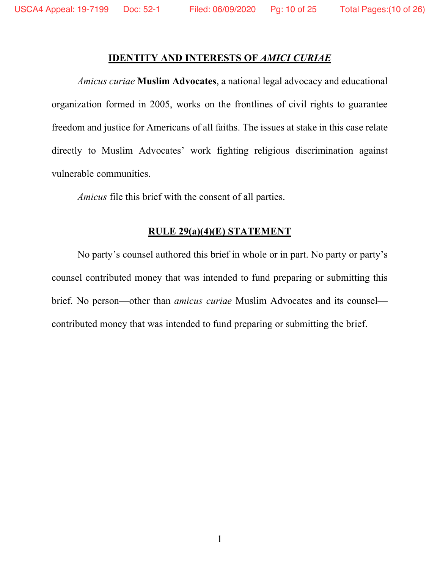### **IDENTITY AND INTERESTS OF** *AMICI CURIAE*

*Amicus curiae* **Muslim Advocates**, a national legal advocacy and educational organization formed in 2005, works on the frontlines of civil rights to guarantee freedom and justice for Americans of all faiths. The issues at stake in this case relate directly to Muslim Advocates' work fighting religious discrimination against vulnerable communities.

*Amicus* file this brief with the consent of all parties.

## **RULE 29(a)(4)(E) STATEMENT**

No party's counsel authored this brief in whole or in part. No party or party's counsel contributed money that was intended to fund preparing or submitting this brief. No person—other than *amicus curiae* Muslim Advocates and its counsel contributed money that was intended to fund preparing or submitting the brief.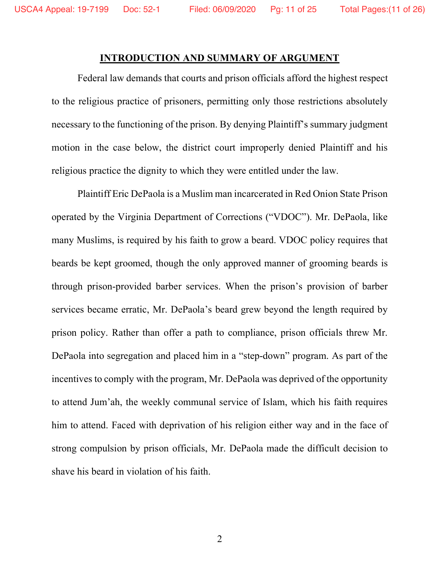#### **INTRODUCTION AND SUMMARY OF ARGUMENT**

Federal law demands that courts and prison officials afford the highest respect to the religious practice of prisoners, permitting only those restrictions absolutely necessary to the functioning of the prison. By denying Plaintiff's summary judgment motion in the case below, the district court improperly denied Plaintiff and his religious practice the dignity to which they were entitled under the law.

Plaintiff Eric DePaola is a Muslim man incarcerated in Red Onion State Prison operated by the Virginia Department of Corrections ("VDOC"). Mr. DePaola, like many Muslims, is required by his faith to grow a beard. VDOC policy requires that beards be kept groomed, though the only approved manner of grooming beards is through prison-provided barber services. When the prison's provision of barber services became erratic, Mr. DePaola's beard grew beyond the length required by prison policy. Rather than offer a path to compliance, prison officials threw Mr. DePaola into segregation and placed him in a "step-down" program. As part of the incentives to comply with the program, Mr. DePaola was deprived of the opportunity to attend Jum'ah, the weekly communal service of Islam, which his faith requires him to attend. Faced with deprivation of his religion either way and in the face of strong compulsion by prison officials, Mr. DePaola made the difficult decision to shave his beard in violation of his faith.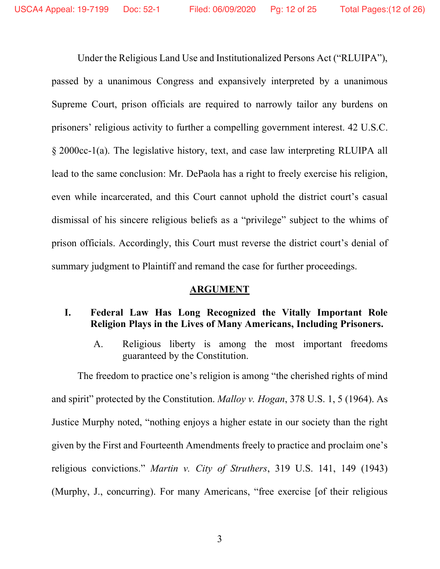Under the Religious Land Use and Institutionalized Persons Act ("RLUIPA"), passed by a unanimous Congress and expansively interpreted by a unanimous Supreme Court, prison officials are required to narrowly tailor any burdens on prisoners' religious activity to further a compelling government interest. 42 U.S.C. § 2000cc-1(a). The legislative history, text, and case law interpreting RLUIPA all lead to the same conclusion: Mr. DePaola has a right to freely exercise his religion, even while incarcerated, and this Court cannot uphold the district court's casual dismissal of his sincere religious beliefs as a "privilege" subject to the whims of prison officials. Accordingly, this Court must reverse the district court's denial of summary judgment to Plaintiff and remand the case for further proceedings.

## **ARGUMENT**

## **I. Federal Law Has Long Recognized the Vitally Important Role Religion Plays in the Lives of Many Americans, Including Prisoners.**

A. Religious liberty is among the most important freedoms guaranteed by the Constitution.

The freedom to practice one's religion is among "the cherished rights of mind and spirit" protected by the Constitution. *Malloy v. Hogan*, 378 U.S. 1, 5 (1964). As Justice Murphy noted, "nothing enjoys a higher estate in our society than the right given by the First and Fourteenth Amendments freely to practice and proclaim one's religious convictions." *Martin v. City of Struthers*, 319 U.S. 141, 149 (1943) (Murphy, J., concurring). For many Americans, "free exercise [of their religious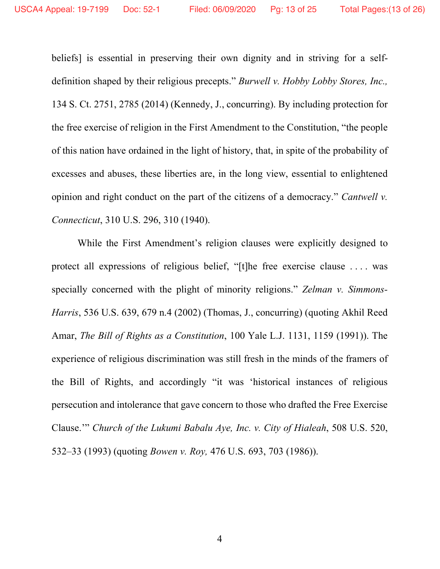beliefs] is essential in preserving their own dignity and in striving for a selfdefinition shaped by their religious precepts." *Burwell v. Hobby Lobby Stores, Inc.,* 134 S. Ct. 2751, 2785 (2014) (Kennedy, J., concurring). By including protection for the free exercise of religion in the First Amendment to the Constitution, "the people of this nation have ordained in the light of history, that, in spite of the probability of excesses and abuses, these liberties are, in the long view, essential to enlightened opinion and right conduct on the part of the citizens of a democracy." *Cantwell v. Connecticut*, 310 U.S. 296, 310 (1940).

While the First Amendment's religion clauses were explicitly designed to protect all expressions of religious belief, "[t]he free exercise clause . . . . was specially concerned with the plight of minority religions." *Zelman v. Simmons-Harris*, 536 U.S. 639, 679 n.4 (2002) (Thomas, J., concurring) (quoting Akhil Reed Amar, *The Bill of Rights as a Constitution*, 100 Yale L.J. 1131, 1159 (1991)). The experience of religious discrimination was still fresh in the minds of the framers of the Bill of Rights, and accordingly "it was 'historical instances of religious persecution and intolerance that gave concern to those who drafted the Free Exercise Clause.'" *Church of the Lukumi Babalu Aye, Inc. v. City of Hialeah*, 508 U.S. 520, 532–33 (1993) (quoting *Bowen v. Roy,* 476 U.S. 693, 703 (1986)).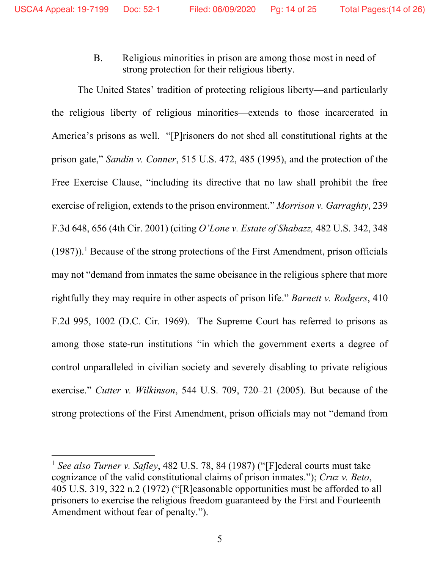B. Religious minorities in prison are among those most in need of strong protection for their religious liberty.

The United States' tradition of protecting religious liberty—and particularly the religious liberty of religious minorities—extends to those incarcerated in America's prisons as well. "[P]risoners do not shed all constitutional rights at the prison gate," *Sandin v. Conner*, 515 U.S. 472, 485 (1995), and the protection of the Free Exercise Clause, "including its directive that no law shall prohibit the free exercise of religion, extends to the prison environment." *Morrison v. Garraghty*, 239 F.3d 648, 656 (4th Cir. 2001) (citing *O'Lone v. Estate of Shabazz,* 482 U.S. 342, 348  $(1987)$ ).<sup>1</sup> Because of the strong protections of the First Amendment, prison officials may not "demand from inmates the same obeisance in the religious sphere that more rightfully they may require in other aspects of prison life." *Barnett v. Rodgers*, 410 F.2d 995, 1002 (D.C. Cir. 1969). The Supreme Court has referred to prisons as among those state-run institutions "in which the government exerts a degree of control unparalleled in civilian society and severely disabling to private religious exercise." *Cutter v. Wilkinson*, 544 U.S. 709, 720–21 (2005). But because of the strong protections of the First Amendment, prison officials may not "demand from

 $\overline{a}$ 

<sup>1</sup> *See also Turner v. Safley*, 482 U.S. 78, 84 (1987) ("[F]ederal courts must take cognizance of the valid constitutional claims of prison inmates."); *Cruz v. Beto*, 405 U.S. 319, 322 n.2 (1972) ("[R]easonable opportunities must be afforded to all prisoners to exercise the religious freedom guaranteed by the First and Fourteenth Amendment without fear of penalty.").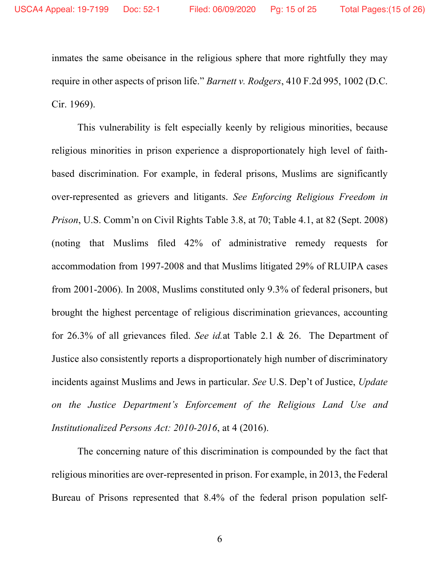inmates the same obeisance in the religious sphere that more rightfully they may require in other aspects of prison life." *Barnett v. Rodgers*, 410 F.2d 995, 1002 (D.C. Cir. 1969).

This vulnerability is felt especially keenly by religious minorities, because religious minorities in prison experience a disproportionately high level of faithbased discrimination. For example, in federal prisons, Muslims are significantly over-represented as grievers and litigants. *See Enforcing Religious Freedom in Prison*, U.S. Comm'n on Civil Rights Table 3.8, at 70; Table 4.1, at 82 (Sept. 2008) (noting that Muslims filed 42% of administrative remedy requests for accommodation from 1997-2008 and that Muslims litigated 29% of RLUIPA cases from 2001-2006). In 2008, Muslims constituted only 9.3% of federal prisoners, but brought the highest percentage of religious discrimination grievances, accounting for 26.3% of all grievances filed. *See id.*at Table 2.1 & 26. The Department of Justice also consistently reports a disproportionately high number of discriminatory incidents against Muslims and Jews in particular. *See* U.S. Dep't of Justice, *Update on the Justice Department's Enforcement of the Religious Land Use and Institutionalized Persons Act: 2010-2016*, at 4 (2016).

The concerning nature of this discrimination is compounded by the fact that religious minorities are over-represented in prison. For example, in 2013, the Federal Bureau of Prisons represented that 8.4% of the federal prison population self-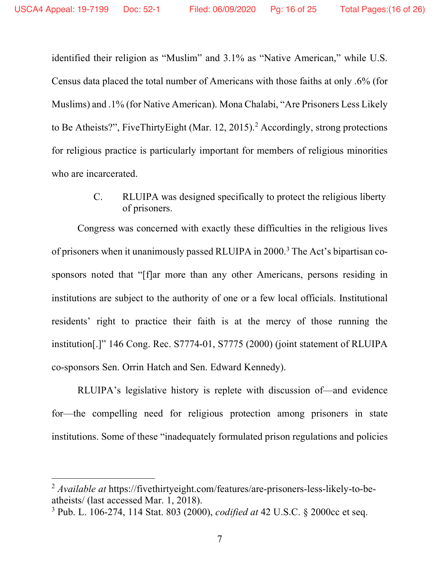$\overline{a}$ 

identified their religion as "Muslim" and 3.1% as "Native American," while U.S. Census data placed the total number of Americans with those faiths at only .6% (for Muslims) and .1% (for Native American). Mona Chalabi, "Are Prisoners Less Likely to Be Atheists?", FiveThirtyEight (Mar. 12, 2015).<sup>2</sup> Accordingly, strong protections for religious practice is particularly important for members of religious minorities who are incarcerated.

> C. RLUIPA was designed specifically to protect the religious liberty of prisoners.

Congress was concerned with exactly these difficulties in the religious lives of prisoners when it unanimously passed RLUIPA in 2000.3 The Act's bipartisan cosponsors noted that "[f]ar more than any other Americans, persons residing in institutions are subject to the authority of one or a few local officials. Institutional residents' right to practice their faith is at the mercy of those running the institution[.]" 146 Cong. Rec. S7774-01, S7775 (2000) (joint statement of RLUIPA co-sponsors Sen. Orrin Hatch and Sen. Edward Kennedy).

RLUIPA's legislative history is replete with discussion of—and evidence for—the compelling need for religious protection among prisoners in state institutions. Some of these "inadequately formulated prison regulations and policies

<sup>2</sup> *Available at* https://fivethirtyeight.com/features/are-prisoners-less-likely-to-beatheists/ (last accessed Mar. 1, 2018).

<sup>3</sup> Pub. L. 106-274, 114 Stat. 803 (2000), *codified at* 42 U.S.C. § 2000cc et seq.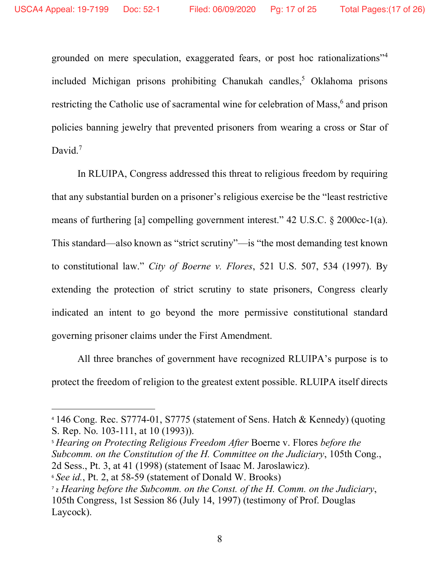$\overline{a}$ 

grounded on mere speculation, exaggerated fears, or post hoc rationalizations"4 included Michigan prisons prohibiting Chanukah candles,<sup>5</sup> Oklahoma prisons restricting the Catholic use of sacramental wine for celebration of Mass,<sup>6</sup> and prison policies banning jewelry that prevented prisoners from wearing a cross or Star of David.<sup>7</sup>

In RLUIPA, Congress addressed this threat to religious freedom by requiring that any substantial burden on a prisoner's religious exercise be the "least restrictive means of furthering [a] compelling government interest." 42 U.S.C. § 2000cc-1(a). This standard—also known as "strict scrutiny"—is "the most demanding test known to constitutional law." *City of Boerne v. Flores*, 521 U.S. 507, 534 (1997). By extending the protection of strict scrutiny to state prisoners, Congress clearly indicated an intent to go beyond the more permissive constitutional standard governing prisoner claims under the First Amendment.

All three branches of government have recognized RLUIPA's purpose is to protect the freedom of religion to the greatest extent possible. RLUIPA itself directs

<sup>5</sup> *Hearing on Protecting Religious Freedom After* Boerne v. Flores *before the Subcomm. on the Constitution of the H. Committee on the Judiciary*, 105th Cong., 2d Sess., Pt. 3, at 41 (1998) (statement of Isaac M. Jaroslawicz).

<sup>4</sup> 146 Cong. Rec. S7774-01, S7775 (statement of Sens. Hatch & Kennedy) (quoting S. Rep. No. 103-111, at 10 (1993)).

<sup>6</sup> *See id.*, Pt. 2, at 58-59 (statement of Donald W. Brooks)

<sup>7</sup> z *Hearing before the Subcomm. on the Const. of the H. Comm. on the Judiciary*, 105th Congress, 1st Session 86 (July 14, 1997) (testimony of Prof. Douglas Laycock).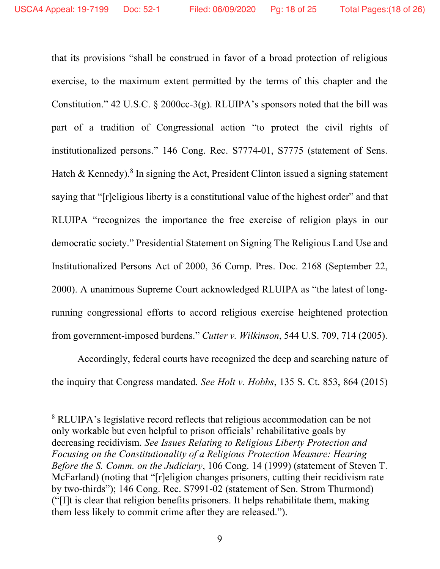that its provisions "shall be construed in favor of a broad protection of religious exercise, to the maximum extent permitted by the terms of this chapter and the Constitution." 42 U.S.C.  $\S$  2000cc-3(g). RLUIPA's sponsors noted that the bill was part of a tradition of Congressional action "to protect the civil rights of institutionalized persons." 146 Cong. Rec. S7774-01, S7775 (statement of Sens. Hatch & Kennedy).<sup>8</sup> In signing the Act, President Clinton issued a signing statement saying that "[r]eligious liberty is a constitutional value of the highest order" and that RLUIPA "recognizes the importance the free exercise of religion plays in our democratic society." Presidential Statement on Signing The Religious Land Use and Institutionalized Persons Act of 2000, 36 Comp. Pres. Doc. 2168 (September 22, 2000). A unanimous Supreme Court acknowledged RLUIPA as "the latest of longrunning congressional efforts to accord religious exercise heightened protection from government-imposed burdens." *Cutter v. Wilkinson*, 544 U.S. 709, 714 (2005).

Accordingly, federal courts have recognized the deep and searching nature of the inquiry that Congress mandated. *See Holt v. Hobbs*, 135 S. Ct. 853, 864 (2015)

 $\overline{a}$ 

<sup>8</sup> RLUIPA's legislative record reflects that religious accommodation can be not only workable but even helpful to prison officials' rehabilitative goals by decreasing recidivism. *See Issues Relating to Religious Liberty Protection and Focusing on the Constitutionality of a Religious Protection Measure: Hearing Before the S. Comm. on the Judiciary*, 106 Cong. 14 (1999) (statement of Steven T. McFarland) (noting that "[r]eligion changes prisoners, cutting their recidivism rate by two-thirds"); 146 Cong. Rec. S7991-02 (statement of Sen. Strom Thurmond) ("[I]t is clear that religion benefits prisoners. It helps rehabilitate them, making them less likely to commit crime after they are released.").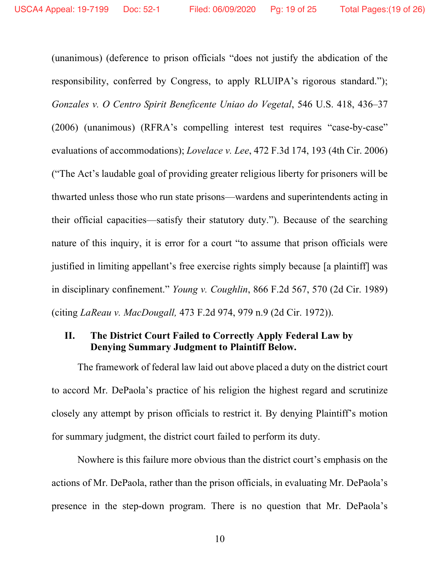(unanimous) (deference to prison officials "does not justify the abdication of the responsibility, conferred by Congress, to apply RLUIPA's rigorous standard."); *Gonzales v. O Centro Spirit Beneficente Uniao do Vegetal*, 546 U.S. 418, 436–37 (2006) (unanimous) (RFRA's compelling interest test requires "case-by-case" evaluations of accommodations); *Lovelace v. Lee*, 472 F.3d 174, 193 (4th Cir. 2006) ("The Act's laudable goal of providing greater religious liberty for prisoners will be thwarted unless those who run state prisons—wardens and superintendents acting in their official capacities—satisfy their statutory duty."). Because of the searching nature of this inquiry, it is error for a court "to assume that prison officials were justified in limiting appellant's free exercise rights simply because [a plaintiff] was in disciplinary confinement." *Young v. Coughlin*, 866 F.2d 567, 570 (2d Cir. 1989) (citing *LaReau v. MacDougall,* 473 F.2d 974, 979 n.9 (2d Cir. 1972)).

## **II. The District Court Failed to Correctly Apply Federal Law by Denying Summary Judgment to Plaintiff Below.**

The framework of federal law laid out above placed a duty on the district court to accord Mr. DePaola's practice of his religion the highest regard and scrutinize closely any attempt by prison officials to restrict it. By denying Plaintiff's motion for summary judgment, the district court failed to perform its duty.

Nowhere is this failure more obvious than the district court's emphasis on the actions of Mr. DePaola, rather than the prison officials, in evaluating Mr. DePaola's presence in the step-down program. There is no question that Mr. DePaola's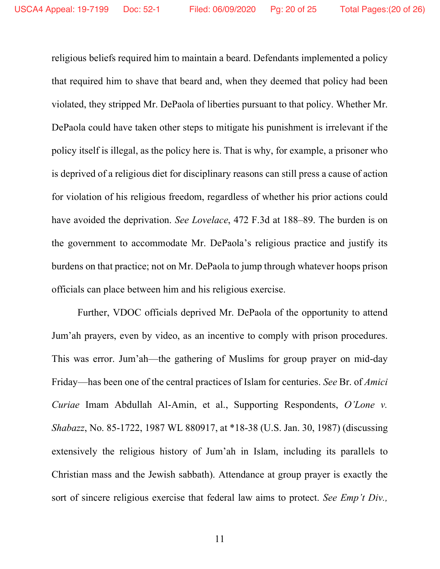religious beliefs required him to maintain a beard. Defendants implemented a policy that required him to shave that beard and, when they deemed that policy had been violated, they stripped Mr. DePaola of liberties pursuant to that policy. Whether Mr. DePaola could have taken other steps to mitigate his punishment is irrelevant if the policy itself is illegal, as the policy here is. That is why, for example, a prisoner who is deprived of a religious diet for disciplinary reasons can still press a cause of action for violation of his religious freedom, regardless of whether his prior actions could have avoided the deprivation. *See Lovelace*, 472 F.3d at 188–89. The burden is on the government to accommodate Mr. DePaola's religious practice and justify its burdens on that practice; not on Mr. DePaola to jump through whatever hoops prison officials can place between him and his religious exercise.

Further, VDOC officials deprived Mr. DePaola of the opportunity to attend Jum'ah prayers, even by video, as an incentive to comply with prison procedures. This was error. Jum'ah—the gathering of Muslims for group prayer on mid-day Friday—has been one of the central practices of Islam for centuries. *See* Br. of *Amici Curiae* Imam Abdullah Al-Amin, et al., Supporting Respondents, *O'Lone v. Shabazz*, No. 85-1722, 1987 WL 880917, at \*18-38 (U.S. Jan. 30, 1987) (discussing extensively the religious history of Jum'ah in Islam, including its parallels to Christian mass and the Jewish sabbath). Attendance at group prayer is exactly the sort of sincere religious exercise that federal law aims to protect. *See Emp't Div.,*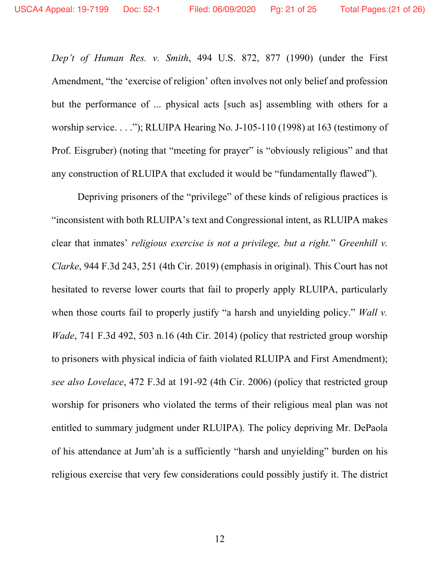*Dep't of Human Res. v. Smith*, 494 U.S. 872, 877 (1990) (under the First Amendment, "the 'exercise of religion' often involves not only belief and profession but the performance of ... physical acts [such as] assembling with others for a worship service. . . ."); RLUIPA Hearing No. J-105-110 (1998) at 163 (testimony of Prof. Eisgruber) (noting that "meeting for prayer" is "obviously religious" and that any construction of RLUIPA that excluded it would be "fundamentally flawed").

Depriving prisoners of the "privilege" of these kinds of religious practices is "inconsistent with both RLUIPA's text and Congressional intent, as RLUIPA makes clear that inmates' *religious exercise is not a privilege, but a right.*" *Greenhill v. Clarke*, 944 F.3d 243, 251 (4th Cir. 2019) (emphasis in original). This Court has not hesitated to reverse lower courts that fail to properly apply RLUIPA, particularly when those courts fail to properly justify "a harsh and unyielding policy." *Wall v. Wade*, 741 F.3d 492, 503 n.16 (4th Cir. 2014) (policy that restricted group worship to prisoners with physical indicia of faith violated RLUIPA and First Amendment); *see also Lovelace*, 472 F.3d at 191-92 (4th Cir. 2006) (policy that restricted group worship for prisoners who violated the terms of their religious meal plan was not entitled to summary judgment under RLUIPA). The policy depriving Mr. DePaola of his attendance at Jum'ah is a sufficiently "harsh and unyielding" burden on his religious exercise that very few considerations could possibly justify it. The district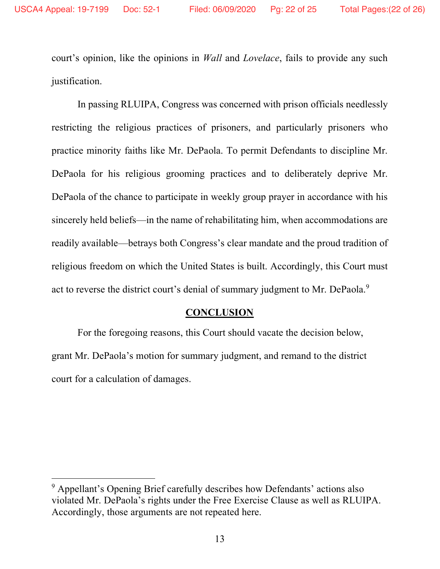court's opinion, like the opinions in *Wall* and *Lovelace*, fails to provide any such justification.

In passing RLUIPA, Congress was concerned with prison officials needlessly restricting the religious practices of prisoners, and particularly prisoners who practice minority faiths like Mr. DePaola. To permit Defendants to discipline Mr. DePaola for his religious grooming practices and to deliberately deprive Mr. DePaola of the chance to participate in weekly group prayer in accordance with his sincerely held beliefs—in the name of rehabilitating him, when accommodations are readily available—betrays both Congress's clear mandate and the proud tradition of religious freedom on which the United States is built. Accordingly, this Court must act to reverse the district court's denial of summary judgment to Mr. DePaola.<sup>9</sup>

#### **CONCLUSION**

For the foregoing reasons, this Court should vacate the decision below, grant Mr. DePaola's motion for summary judgment, and remand to the district court for a calculation of damages.

 $\overline{a}$ 

<sup>9</sup> Appellant's Opening Brief carefully describes how Defendants' actions also violated Mr. DePaola's rights under the Free Exercise Clause as well as RLUIPA. Accordingly, those arguments are not repeated here.